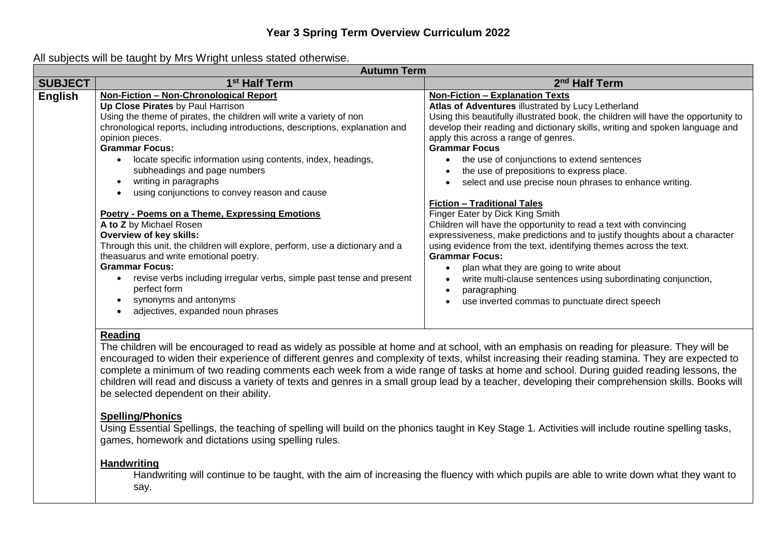### **Year 3 Spring Term Overview Curriculum 2022**

All subjects will be taught by Mrs Wright unless stated otherwise.

|                | <b>Autumn Term</b>                                                                                                                          |                                                                                    |  |
|----------------|---------------------------------------------------------------------------------------------------------------------------------------------|------------------------------------------------------------------------------------|--|
| <b>SUBJECT</b> | 1 <sup>st</sup> Half Term                                                                                                                   | 2 <sup>nd</sup> Half Term                                                          |  |
| <b>English</b> | Non-Fiction - Non-Chronological Report                                                                                                      | <b>Non-Fiction - Explanation Texts</b>                                             |  |
|                | Up Close Pirates by Paul Harrison                                                                                                           | Atlas of Adventures illustrated by Lucy Letherland                                 |  |
|                | Using the theme of pirates, the children will write a variety of non                                                                        | Using this beautifully illustrated book, the children will have the opportunity to |  |
|                | chronological reports, including introductions, descriptions, explanation and                                                               | develop their reading and dictionary skills, writing and spoken language and       |  |
|                | opinion pieces.                                                                                                                             | apply this across a range of genres.                                               |  |
|                | <b>Grammar Focus:</b>                                                                                                                       | <b>Grammar Focus</b>                                                               |  |
|                | locate specific information using contents, index, headings,                                                                                | the use of conjunctions to extend sentences                                        |  |
|                | subheadings and page numbers                                                                                                                | the use of prepositions to express place.                                          |  |
|                | writing in paragraphs                                                                                                                       | select and use precise noun phrases to enhance writing.                            |  |
|                | using conjunctions to convey reason and cause                                                                                               |                                                                                    |  |
|                |                                                                                                                                             | <b>Fiction - Traditional Tales</b>                                                 |  |
|                | <b>Poetry - Poems on a Theme, Expressing Emotions</b>                                                                                       | Finger Eater by Dick King Smith                                                    |  |
|                | A to Z by Michael Rosen                                                                                                                     | Children will have the opportunity to read a text with convincing                  |  |
|                | Overview of key skills:                                                                                                                     | expressiveness, make predictions and to justify thoughts about a character         |  |
|                | Through this unit, the children will explore, perform, use a dictionary and a                                                               | using evidence from the text, identifying themes across the text.                  |  |
|                | theasuarus and write emotional poetry.                                                                                                      | <b>Grammar Focus:</b>                                                              |  |
|                | <b>Grammar Focus:</b>                                                                                                                       | plan what they are going to write about                                            |  |
|                | revise verbs including irregular verbs, simple past tense and present                                                                       | write multi-clause sentences using subordinating conjunction,                      |  |
|                | perfect form                                                                                                                                | paragraphing<br>$\bullet$                                                          |  |
|                | synonyms and antonyms                                                                                                                       | use inverted commas to punctuate direct speech                                     |  |
|                | adjectives, expanded noun phrases                                                                                                           |                                                                                    |  |
|                |                                                                                                                                             |                                                                                    |  |
|                | Reading                                                                                                                                     |                                                                                    |  |
|                | The children will be encouraged to read as widely as possible at home and at school, with an emphasis on reading for pleasure. They will be |                                                                                    |  |

encouraged to widen their experience of different genres and complexity of texts, whilst increasing their reading stamina. They are expected to complete a minimum of two reading comments each week from a wide range of tasks at home and school. During guided reading lessons, the children will read and discuss a variety of texts and genres in a small group lead by a teacher, developing their comprehension skills. Books will be selected dependent on their ability.

#### **Spelling/Phonics**

Using Essential Spellings, the teaching of spelling will build on the phonics taught in Key Stage 1. Activities will include routine spelling tasks, games, homework and dictations using spelling rules.

#### **Handwriting**

Handwriting will continue to be taught, with the aim of increasing the fluency with which pupils are able to write down what they want to say.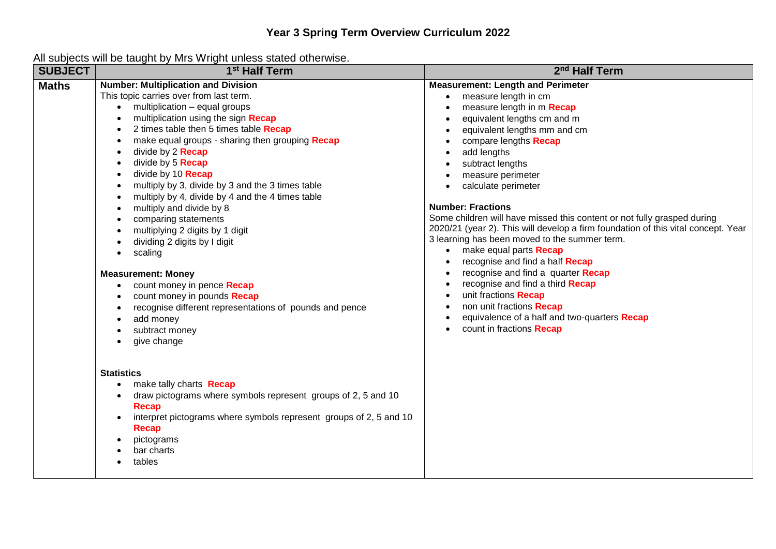| <b>SUBJECT</b> | a baspete ma se taugut sy mie might anioce blatou olitermool<br>1 <sup>st</sup> Half Term                                                                                                                                                                                                                                                                                                                                                                                                                                                                                                                                                                                                                                                                                                                                                                | 2 <sup>nd</sup> Half Term                                                                                                                                                                                                                                                                                                                                                                                                                                                                                                                                                                                                                                                                                                                                                                                          |
|----------------|----------------------------------------------------------------------------------------------------------------------------------------------------------------------------------------------------------------------------------------------------------------------------------------------------------------------------------------------------------------------------------------------------------------------------------------------------------------------------------------------------------------------------------------------------------------------------------------------------------------------------------------------------------------------------------------------------------------------------------------------------------------------------------------------------------------------------------------------------------|--------------------------------------------------------------------------------------------------------------------------------------------------------------------------------------------------------------------------------------------------------------------------------------------------------------------------------------------------------------------------------------------------------------------------------------------------------------------------------------------------------------------------------------------------------------------------------------------------------------------------------------------------------------------------------------------------------------------------------------------------------------------------------------------------------------------|
| <b>Maths</b>   | <b>Number: Multiplication and Division</b><br>This topic carries over from last term.<br>• multiplication - equal groups<br>multiplication using the sign Recap<br>2 times table then 5 times table Recap<br>make equal groups - sharing then grouping Recap<br>divide by 2 <b>Recap</b><br>divide by 5 <b>Recap</b><br>divide by 10 Recap<br>multiply by 3, divide by 3 and the 3 times table<br>multiply by 4, divide by 4 and the 4 times table<br>multiply and divide by 8<br>$\bullet$<br>comparing statements<br>$\bullet$<br>multiplying 2 digits by 1 digit<br>dividing 2 digits by I digit<br>scaling<br>$\bullet$<br><b>Measurement: Money</b><br>count money in pence Recap<br>$\bullet$<br>count money in pounds Recap<br>$\bullet$<br>recognise different representations of pounds and pence<br>add money<br>subtract money<br>give change | <b>Measurement: Length and Perimeter</b><br>measure length in cm<br>measure length in m Recap<br>equivalent lengths cm and m<br>equivalent lengths mm and cm<br>compare lengths Recap<br>add lengths<br>subtract lengths<br>measure perimeter<br>calculate perimeter<br>$\bullet$<br><b>Number: Fractions</b><br>Some children will have missed this content or not fully grasped during<br>2020/21 (year 2). This will develop a firm foundation of this vital concept. Year<br>3 learning has been moved to the summer term.<br>make equal parts Recap<br>$\bullet$<br>recognise and find a half Recap<br>recognise and find a quarter Recap<br>recognise and find a third Recap<br>unit fractions Recap<br>non unit fractions Recap<br>equivalence of a half and two-quarters Recap<br>count in fractions Recap |
|                | <b>Statistics</b><br>make tally charts Recap<br>draw pictograms where symbols represent groups of 2, 5 and 10<br><b>Recap</b><br>interpret pictograms where symbols represent groups of 2, 5 and 10<br><b>Recap</b><br>pictograms<br>$\bullet$<br>bar charts<br>tables                                                                                                                                                                                                                                                                                                                                                                                                                                                                                                                                                                                   |                                                                                                                                                                                                                                                                                                                                                                                                                                                                                                                                                                                                                                                                                                                                                                                                                    |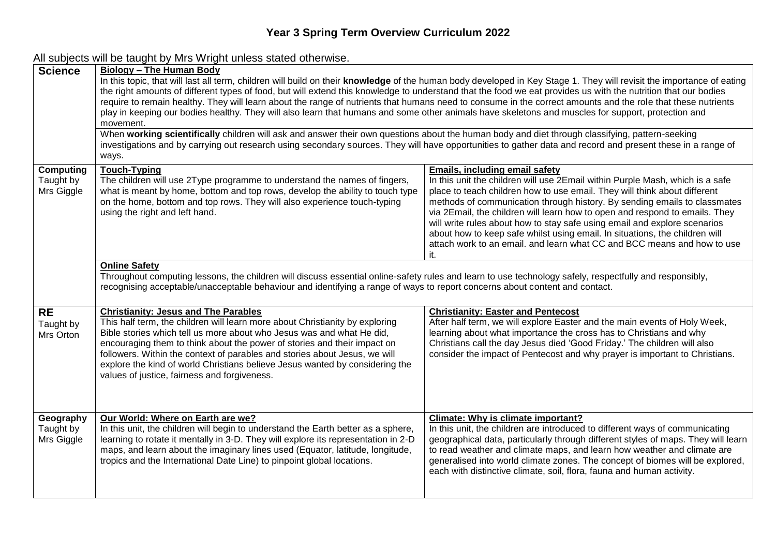|           | <b>Science</b>                              | <b>Biology - The Human Body</b><br>In this topic, that will last all term, children will build on their knowledge of the human body developed in Key Stage 1. They will revisit the importance of eating<br>the right amounts of different types of food, but will extend this knowledge to understand that the food we eat provides us with the nutrition that our bodies<br>require to remain healthy. They will learn about the range of nutrients that humans need to consume in the correct amounts and the role that these nutrients<br>play in keeping our bodies healthy. They will also learn that humans and some other animals have skeletons and muscles for support, protection and<br>movement. |                                                                                                                                                                                                                                                                                                                                                                                                                                                                                                                                                                                                        |  |
|-----------|---------------------------------------------|---------------------------------------------------------------------------------------------------------------------------------------------------------------------------------------------------------------------------------------------------------------------------------------------------------------------------------------------------------------------------------------------------------------------------------------------------------------------------------------------------------------------------------------------------------------------------------------------------------------------------------------------------------------------------------------------------------------|--------------------------------------------------------------------------------------------------------------------------------------------------------------------------------------------------------------------------------------------------------------------------------------------------------------------------------------------------------------------------------------------------------------------------------------------------------------------------------------------------------------------------------------------------------------------------------------------------------|--|
|           |                                             | When working scientifically children will ask and answer their own questions about the human body and diet through classifying, pattern-seeking<br>investigations and by carrying out research using secondary sources. They will have opportunities to gather data and record and present these in a range of<br>ways.                                                                                                                                                                                                                                                                                                                                                                                       |                                                                                                                                                                                                                                                                                                                                                                                                                                                                                                                                                                                                        |  |
|           | <b>Computing</b><br>Taught by<br>Mrs Giggle | <b>Touch-Typing</b><br>The children will use 2Type programme to understand the names of fingers,<br>what is meant by home, bottom and top rows, develop the ability to touch type<br>on the home, bottom and top rows. They will also experience touch-typing<br>using the right and left hand.                                                                                                                                                                                                                                                                                                                                                                                                               | <b>Emails, including email safety</b><br>In this unit the children will use 2Email within Purple Mash, which is a safe<br>place to teach children how to use email. They will think about different<br>methods of communication through history. By sending emails to classmates<br>via 2Email, the children will learn how to open and respond to emails. They<br>will write rules about how to stay safe using email and explore scenarios<br>about how to keep safe whilst using email. In situations, the children will<br>attach work to an email. and learn what CC and BCC means and how to use |  |
|           |                                             | <b>Online Safety</b><br>Throughout computing lessons, the children will discuss essential online-safety rules and learn to use technology safely, respectfully and responsibly,<br>recognising acceptable/unacceptable behaviour and identifying a range of ways to report concerns about content and contact.                                                                                                                                                                                                                                                                                                                                                                                                |                                                                                                                                                                                                                                                                                                                                                                                                                                                                                                                                                                                                        |  |
| <b>RE</b> | Taught by<br>Mrs Orton                      | <b>Christianity: Jesus and The Parables</b><br>This half term, the children will learn more about Christianity by exploring<br>Bible stories which tell us more about who Jesus was and what He did,<br>encouraging them to think about the power of stories and their impact on<br>followers. Within the context of parables and stories about Jesus, we will<br>explore the kind of world Christians believe Jesus wanted by considering the<br>values of justice, fairness and forgiveness.                                                                                                                                                                                                                | <b>Christianity: Easter and Pentecost</b><br>After half term, we will explore Easter and the main events of Holy Week,<br>learning about what importance the cross has to Christians and why<br>Christians call the day Jesus died 'Good Friday.' The children will also<br>consider the impact of Pentecost and why prayer is important to Christians.                                                                                                                                                                                                                                                |  |
|           | Geography<br>Taught by<br>Mrs Giggle        | Our World: Where on Earth are we?<br>In this unit, the children will begin to understand the Earth better as a sphere,<br>learning to rotate it mentally in 3-D. They will explore its representation in 2-D<br>maps, and learn about the imaginary lines used (Equator, latitude, longitude,<br>tropics and the International Date Line) to pinpoint global locations.                                                                                                                                                                                                                                                                                                                                       | Climate: Why is climate important?<br>In this unit, the children are introduced to different ways of communicating<br>geographical data, particularly through different styles of maps. They will learn<br>to read weather and climate maps, and learn how weather and climate are<br>generalised into world climate zones. The concept of biomes will be explored,<br>each with distinctive climate, soil, flora, fauna and human activity.                                                                                                                                                           |  |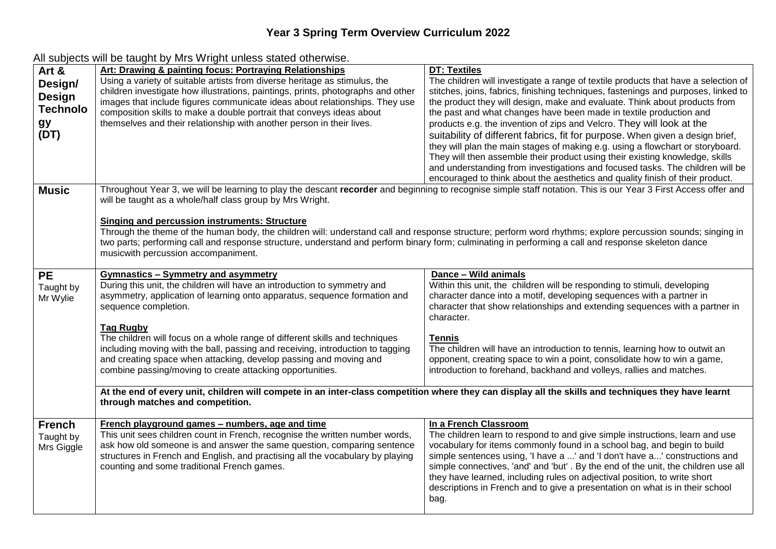# **Year 3 Spring Term Overview Curriculum 2022**

| Art &<br>Design/<br>Design<br><b>Technolo</b><br>gy<br>(DT) | <b>Art: Drawing &amp; painting focus: Portraying Relationships</b><br>Using a variety of suitable artists from diverse heritage as stimulus, the<br>children investigate how illustrations, paintings, prints, photographs and other<br>images that include figures communicate ideas about relationships. They use<br>composition skills to make a double portrait that conveys ideas about<br>themselves and their relationship with another person in their lives. | <b>DT: Textiles</b><br>The children will investigate a range of textile products that have a selection of<br>stitches, joins, fabrics, finishing techniques, fastenings and purposes, linked to<br>the product they will design, make and evaluate. Think about products from<br>the past and what changes have been made in textile production and<br>products e.g. the invention of zips and Velcro. They will look at the<br>suitability of different fabrics, fit for purpose. When given a design brief,<br>they will plan the main stages of making e.g. using a flowchart or storyboard.<br>They will then assemble their product using their existing knowledge, skills<br>and understanding from investigations and focused tasks. The children will be |
|-------------------------------------------------------------|-----------------------------------------------------------------------------------------------------------------------------------------------------------------------------------------------------------------------------------------------------------------------------------------------------------------------------------------------------------------------------------------------------------------------------------------------------------------------|------------------------------------------------------------------------------------------------------------------------------------------------------------------------------------------------------------------------------------------------------------------------------------------------------------------------------------------------------------------------------------------------------------------------------------------------------------------------------------------------------------------------------------------------------------------------------------------------------------------------------------------------------------------------------------------------------------------------------------------------------------------|
| <b>Music</b>                                                | encouraged to think about the aesthetics and quality finish of their product.<br>Throughout Year 3, we will be learning to play the descant recorder and beginning to recognise simple staff notation. This is our Year 3 First Access offer and<br>will be taught as a whole/half class group by Mrs Wright.                                                                                                                                                         |                                                                                                                                                                                                                                                                                                                                                                                                                                                                                                                                                                                                                                                                                                                                                                  |
|                                                             | <b>Singing and percussion instruments: Structure</b><br>two parts; performing call and response structure, understand and perform binary form; culminating in performing a call and response skeleton dance<br>musicwith percussion accompaniment.                                                                                                                                                                                                                    | Through the theme of the human body, the children will: understand call and response structure; perform word rhythms; explore percussion sounds; singing in                                                                                                                                                                                                                                                                                                                                                                                                                                                                                                                                                                                                      |
| <b>PE</b><br>Taught by<br>Mr Wylie                          | <b>Gymnastics - Symmetry and asymmetry</b><br>During this unit, the children will have an introduction to symmetry and<br>asymmetry, application of learning onto apparatus, sequence formation and<br>sequence completion.                                                                                                                                                                                                                                           | Dance - Wild animals<br>Within this unit, the children will be responding to stimuli, developing<br>character dance into a motif, developing sequences with a partner in<br>character that show relationships and extending sequences with a partner in<br>character.                                                                                                                                                                                                                                                                                                                                                                                                                                                                                            |
|                                                             | <b>Tag Rugby</b><br>The children will focus on a whole range of different skills and techniques<br>including moving with the ball, passing and receiving, introduction to tagging<br>and creating space when attacking, develop passing and moving and<br>combine passing/moving to create attacking opportunities.                                                                                                                                                   | <b>Tennis</b><br>The children will have an introduction to tennis, learning how to outwit an<br>opponent, creating space to win a point, consolidate how to win a game,<br>introduction to forehand, backhand and volleys, rallies and matches.                                                                                                                                                                                                                                                                                                                                                                                                                                                                                                                  |
|                                                             | At the end of every unit, children will compete in an inter-class competition where they can display all the skills and techniques they have learnt<br>through matches and competition.                                                                                                                                                                                                                                                                               |                                                                                                                                                                                                                                                                                                                                                                                                                                                                                                                                                                                                                                                                                                                                                                  |
| <b>French</b><br>Taught by<br>Mrs Giggle                    | French playground games - numbers, age and time<br>This unit sees children count in French, recognise the written number words,<br>ask how old someone is and answer the same question, comparing sentence<br>structures in French and English, and practising all the vocabulary by playing<br>counting and some traditional French games.                                                                                                                           | In a French Classroom<br>The children learn to respond to and give simple instructions, learn and use<br>vocabulary for items commonly found in a school bag, and begin to build<br>simple sentences using, 'I have a ' and 'I don't have a' constructions and<br>simple connectives, 'and' and 'but'. By the end of the unit, the children use all<br>they have learned, including rules on adjectival position, to write short<br>descriptions in French and to give a presentation on what is in their school<br>bag.                                                                                                                                                                                                                                         |